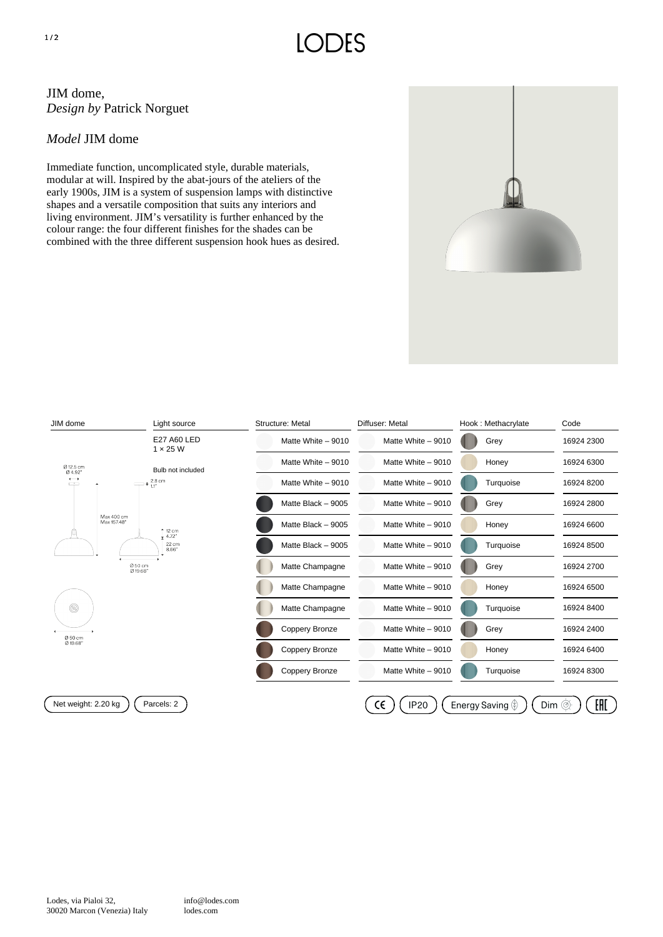## JIM dome, *Design by* Patrick Norguet

## *Model* JIM dome

Immediate function, uncomplicated style, durable materials, modular at will. Inspired by the abat-jours of the ateliers of the early 1900s, JIM is a system of suspension lamps with distinctive shapes and a versatile composition that suits any interiors and living environment. JIM's versatility is further enhanced by the colour range: the four different finishes for the shades can be combined with the three different suspension hook hues as desired.